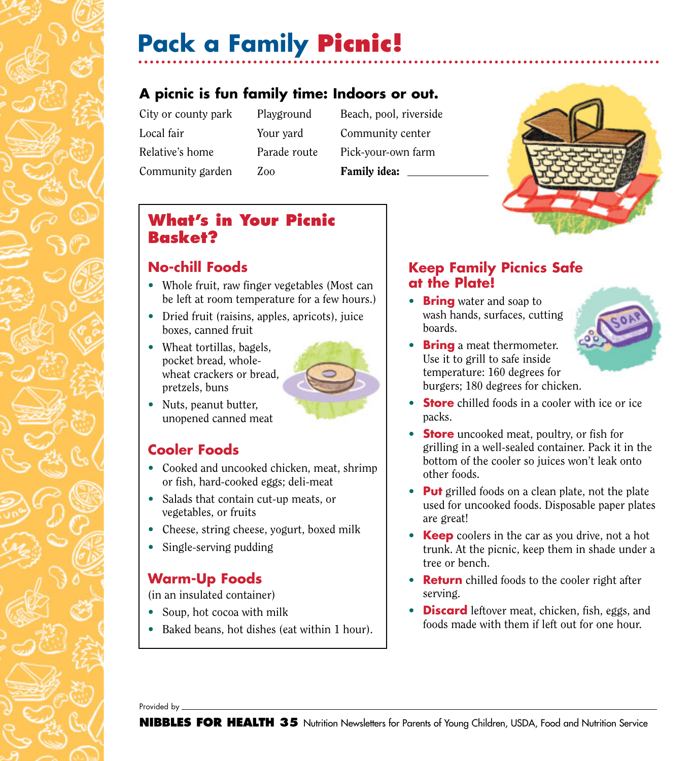# **Pack a Family Picnic!**

## **A picnic is fun family time: Indoors or out.**

Local fair Your yard Community center Community garden Zoo Family idea:

- 
- City or county park Playground Beach, pool, riverside Relative's home Parade route Pick-your-own farm



## **What's in Your Picnic Basket?**

#### **No-chill Foods**

- Whole fruit, raw finger vegetables (Most can be left at room temperature for a few hours.)
- Dried fruit (raisins, apples, apricots), juice boxes, canned fruit
- Wheat tortillas, bagels, pocket bread, wholewheat crackers or bread, pretzels, buns



• Nuts, peanut butter, unopened canned meat

### **Cooler Foods**

- Cooked and uncooked chicken, meat, shrimp or fish, hard-cooked eggs; deli-meat
- Salads that contain cut-up meats, or vegetables, or fruits
- Cheese, string cheese, yogurt, boxed milk
- Single-serving pudding

### **Warm-Up Foods**

(in an insulated container)

- Soup, hot cocoa with milk
- Baked beans, hot dishes (eat within 1 hour).

#### **Keep Family Picnics Safe at the Plate!**

- **Bring** water and soap to wash hands, surfaces, cutting boards.
- **Bring** a meat thermometer. Use it to grill to safe inside temperature: 160 degrees for burgers; 180 degrees for chicken.



- **Store** chilled foods in a cooler with ice or ice packs.
- **Store** uncooked meat, poultry, or fish for grilling in a well-sealed container. Pack it in the bottom of the cooler so juices won't leak onto other foods.
- **Put** grilled foods on a clean plate, not the plate used for uncooked foods. Disposable paper plates are great!
- **Keep** coolers in the car as you drive, not a hot trunk. At the picnic, keep them in shade under a tree or bench.
- **Return** chilled foods to the cooler right after serving.
- **Discard** leftover meat, chicken, fish, eggs, and foods made with them if left out for one hour.

Provided by